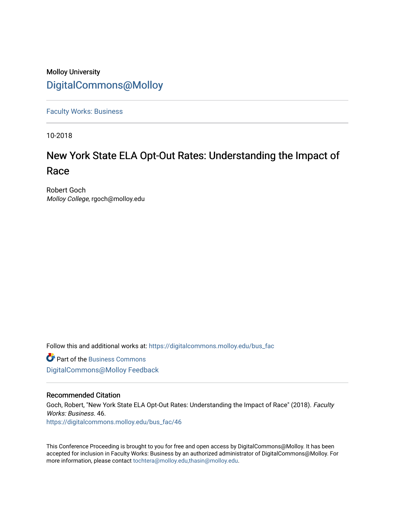### Molloy University [DigitalCommons@Molloy](https://digitalcommons.molloy.edu/)

[Faculty Works: Business](https://digitalcommons.molloy.edu/bus_fac) 

10-2018

## New York State ELA Opt-Out Rates: Understanding the Impact of Race

Robert Goch Molloy College, rgoch@molloy.edu

Follow this and additional works at: [https://digitalcommons.molloy.edu/bus\\_fac](https://digitalcommons.molloy.edu/bus_fac?utm_source=digitalcommons.molloy.edu%2Fbus_fac%2F46&utm_medium=PDF&utm_campaign=PDFCoverPages)

**C** Part of the [Business Commons](https://network.bepress.com/hgg/discipline/622?utm_source=digitalcommons.molloy.edu%2Fbus_fac%2F46&utm_medium=PDF&utm_campaign=PDFCoverPages) [DigitalCommons@Molloy Feedback](https://molloy.libwizard.com/f/dcfeedback)

#### Recommended Citation

Goch, Robert, "New York State ELA Opt-Out Rates: Understanding the Impact of Race" (2018). Faculty Works: Business. 46. [https://digitalcommons.molloy.edu/bus\\_fac/46](https://digitalcommons.molloy.edu/bus_fac/46?utm_source=digitalcommons.molloy.edu%2Fbus_fac%2F46&utm_medium=PDF&utm_campaign=PDFCoverPages) 

This Conference Proceeding is brought to you for free and open access by DigitalCommons@Molloy. It has been accepted for inclusion in Faculty Works: Business by an authorized administrator of DigitalCommons@Molloy. For more information, please contact [tochtera@molloy.edu,thasin@molloy.edu.](mailto:tochtera@molloy.edu,thasin@molloy.edu)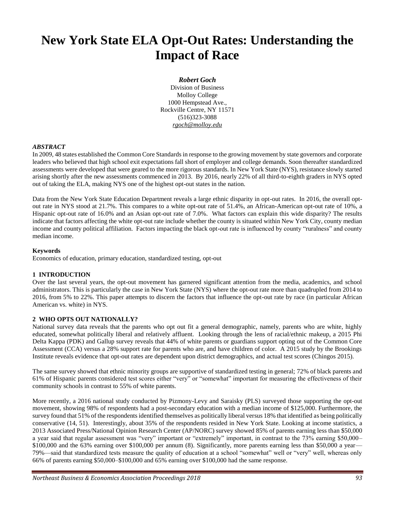# **New York State ELA Opt-Out Rates: Understanding the Impact of Race**

#### *Robert Goch*

Division of Business Molloy College 1000 Hempstead Ave., Rockville Centre, NY 11571 (516)323-3088 *rgoch@molloy.edu*

#### *ABSTRACT*

In 2009, 48 states established the Common Core Standards in response to the growing movement by state governors and corporate leaders who believed that high school exit expectations fall short of employer and college demands. Soon thereafter standardized assessments were developed that were geared to the more rigorous standards. In New York State (NYS), resistance slowly started arising shortly after the new assessments commenced in 2013. By 2016, nearly 22% of all third-to-eighth graders in NYS opted out of taking the ELA, making NYS one of the highest opt-out states in the nation.

Data from the New York State Education Department reveals a large ethnic disparity in opt-out rates. In 2016, the overall optout rate in NYS stood at 21.7%. This compares to a white opt-out rate of 51.4%, an African-American opt-out rate of 10%, a Hispanic opt-out rate of 16.0% and an Asian opt-out rate of 7.0%. What factors can explain this wide disparity? The results indicate that factors affecting the white opt-out rate include whether the county is situated within New York City, county median income and county political affiliation. Factors impacting the black opt-out rate is influenced by county "ruralness" and county median income.

#### **Keywords**

Economics of education, primary education, standardized testing, opt-out

#### **1 INTRODUCTION**

Over the last several years, the opt-out movement has garnered significant attention from the media, academics, and school administrators. This is particularly the case in New York State (NYS) where the opt-out rate more than quadrupled from 2014 to 2016, from 5% to 22%. This paper attempts to discern the factors that influence the opt-out rate by race (in particular African American vs. white) in NYS.

#### **2 WHO OPTS OUT NATIONALLY?**

National survey data reveals that the parents who opt out fit a general demographic, namely, parents who are white, highly educated, somewhat politically liberal and relatively affluent. Looking through the lens of racial/ethnic makeup, a 2015 Phi Delta Kappa (PDK) and Gallup survey reveals that 44% of white parents or guardians support opting out of the Common Core Assessment (CCA) versus a 28% support rate for parents who are, and have children of color. A 2015 study by the Brookings Institute reveals evidence that opt-out rates are dependent upon district demographics, and actual test scores (Chingos 2015).

The same survey showed that ethnic minority groups are supportive of standardized testing in general; 72% of black parents and 61% of Hispanic parents considered test scores either "very" or "somewhat" important for measuring the effectiveness of their community schools in contrast to 55% of white parents.

More recently, a 2016 national study conducted by Pizmony-Levy and Saraisky (PLS) surveyed those supporting the opt-out movement, showing 98% of respondents had a post-secondary education with a median income of \$125,000. Furthermore, the survey found that 51% of the respondents identified themselves as politically liberal versus 18% that identified as being politically conservative (14, 51). Interestingly, about 35% of the respondents resided in New York State. Looking at income statistics, a 2013 Associated Press/National Opinion Research Center (AP/NORC) survey showed 85% of parents earning less than \$50,000 a year said that regular assessment was "very" important or "extremely" important, in contrast to the 73% earning \$50,000– \$100,000 and the 63% earning over \$100,000 per annum (8). Significantly, more parents earning less than \$50,000 a year— 79%—said that standardized tests measure the quality of education at a school "somewhat" well or "very" well, whereas only 66% of parents earning \$50,000–\$100,000 and 65% earning over \$100,000 had the same response.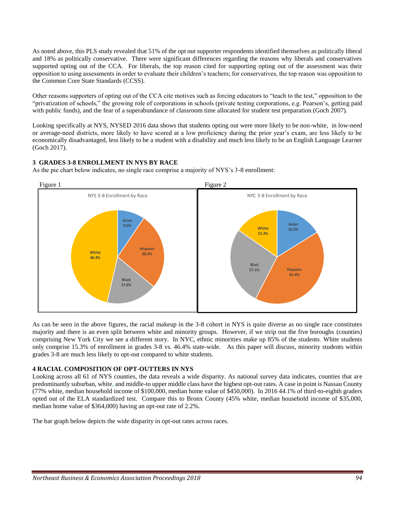As noted above, this PLS study revealed that 51% of the opt out supporter respondents identified themselves as politically liberal and 18% as politically conservative. There were significant differences regarding the reasons why liberals and conservatives supported opting out of the CCA. For liberals, the top reason cited for supporting opting out of the assessment was their opposition to using assessments in order to evaluate their children's teachers; for conservatives, the top reason was opposition to the Common Core State Standards (CCSS).

Other reasons supporters of opting out of the CCA cite motives such as forcing educators to "teach to the test," opposition to the "privatization of schools," the growing role of corporations in schools (private testing corporations, e.g. Pearson's, getting paid with public funds), and the fear of a superabundance of classroom time allocated for student test preparation (Goch 2007).

Looking specifically at NYS, NYSED 2016 data shows that students opting out were more likely to be non-white, in low-need or average-need districts, more likely to have scored at a low proficiency during the prior year's exam, are less likely to be economically disadvantaged, less likely to be a student with a disability and much less likely to be an English Language Learner (Goch 2017).

#### **3 GRADES 3-8 ENROLLMENT IN NYS BY RACE**

As the pie chart below indicates, no single race comprise a majority of NYS's 3-8 enrollment:



As can be seen in the above figures, the racial makeup in the 3-8 cohort in NYS is quite diverse as no single race constitutes majority and there is an even split between white and minority groups. However, if we strip out the five boroughs (counties) comprising New York City we see a different story. In NYC, ethnic minorities make up 85% of the students. White students only comprise 15.3% of enrollment in grades 3-8 vs. 46.4% state-wide. As this paper will discuss, minority students within grades 3-8 are much less likely to opt-out compared to white students.

#### **4 RACIAL COMPOSITION OF OPT-OUTTERS IN NYS**

Looking across all 61 of NYS counties, the data reveals a wide disparity. As national survey data indicates, counties that are predominantly suburban, white, and middle-to upper middle class have the highest opt-out rates. A case in point is Nassau County (77% white, median household income of \$100,000, median home value of \$450,000). In 2016 44.1% of third-to-eighth graders opted out of the ELA standardized test. Compare this to Bronx County (45% white, median household income of \$35,000, median home value of \$364,000) having an opt-out rate of 2.2%.

The bar graph below depicts the wide disparity in opt-out rates across races.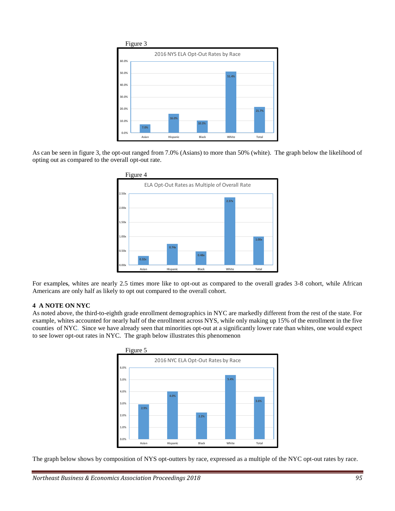

As can be seen in figure 3, the opt-out ranged from 7.0% (Asians) to more than 50% (white). The graph below the likelihood of opting out as compared to the overall opt-out rate.



For examples, whites are nearly 2.5 times more like to opt-out as compared to the overall grades 3-8 cohort, while African Americans are only half as likely to opt out compared to the overall cohort.

#### **4 A NOTE ON NYC**

As noted above, the third-to-eighth grade enrollment demographics in NYC are markedly different from the rest of the state. For example, whites accounted for nearly half of the enrollment across NYS, while only making up 15% of the enrollment in the five counties of NYC. Since we have already seen that minorities opt-out at a significantly lower rate than whites, one would expect to see lower opt-out rates in NYC. The graph below illustrates this phenomenon



The graph below shows by composition of NYS opt-outters by race, expressed as a multiple of the NYC opt-out rates by race.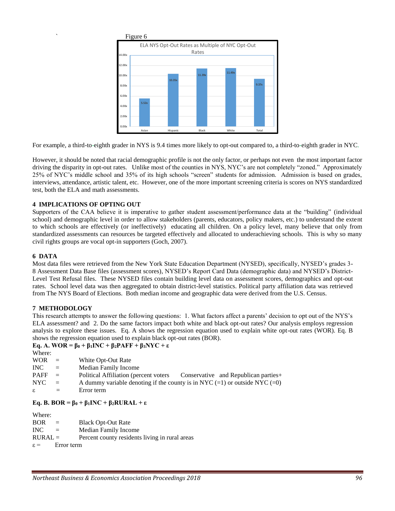

For example, a third-to-eighth grader in NYS is 9.4 times more likely to opt-out compared to, a third-to-eighth grader in NYC.

However, it should be noted that racial demographic profile is not the only factor, or perhaps not even the most important factor driving the disparity in opt-out rates. Unlike most of the counties in NYS, NYC's are not completely "zoned." Approximately 25% of NYC's middle school and 35% of its high schools "screen" students for admission. Admission is based on grades, interviews, attendance, artistic talent, etc. However, one of the more important screening criteria is scores on NYS standardized test, both the ELA and math assessments.

#### **4 IMPLICATIONS OF OPTING OUT**

Supporters of the CAA believe it is imperative to gather student assessment/performance data at the "building" (individual school) and demographic level in order to allow stakeholders (parents, educators, policy makers, etc.) to understand the extent to which schools are effectively (or ineffectively) educating all children. On a policy level, many believe that only from standardized assessments can resources be targeted effectively and allocated to underachieving schools. This is why so many civil rights groups are vocal opt-in supporters (Goch, 2007).

#### **6 DATA**

Most data files were retrieved from the New York State Education Department (NYSED), specifically, NYSED's grades 3- 8 Assessment Data Base files (assessment scores), NYSED's Report Card Data (demographic data) and NYSED's District-Level Test Refusal files. These NYSED files contain building level data on assessment scores, demographics and opt-out rates. School level data was then aggregated to obtain district-level statistics. Political party affiliation data was retrieved from The NYS Board of Elections. Both median income and geographic data were derived from the U.S. Census.

#### **7 METHODOLOGY**

This research attempts to answer the following questions: 1. What factors affect a parents' decision to opt out of the NYS's ELA assessment? and 2. Do the same factors impact both white and black opt-out rates? Our analysis employs regression analysis to explore these issues. Eq. A shows the regression equation used to explain white opt-out rates (WOR). Eq. B shows the regression equation used to explain black opt-out rates (BOR).

#### **Eq. A. WOR = β<sup>0</sup> + β1INC + β2PAFF + β3NYC + ε**

| Where:      |                |                                                                                |
|-------------|----------------|--------------------------------------------------------------------------------|
| <b>WOR</b>  | $\alpha = 1$   | White Opt-Out Rate                                                             |
| INC -       | $\alpha = 1$ . | <b>Median Family Income</b>                                                    |
| <b>PAFF</b> | $\alpha = 1$ . | Political Affiliation (percent voters Conservative and Republican parties +    |
| NYC .       | $\alpha = 1$   | A dummy variable denoting if the county is in NYC $(=1)$ or outside NYC $(=0)$ |
| $\epsilon$  | $\equiv$       | Error term                                                                     |
|             |                |                                                                                |

#### **Eq. B. BOR = β<sup>0</sup> + β1INC + β2RURAL + ε**

| Where:          |            |                                                |
|-----------------|------------|------------------------------------------------|
| <b>BOR</b>      | $\equiv$   | <b>Black Opt-Out Rate</b>                      |
| INC.            | $=$        | <b>Median Family Income</b>                    |
| $RURAL =$       |            | Percent county residents living in rural areas |
| $\varepsilon =$ | Error term |                                                |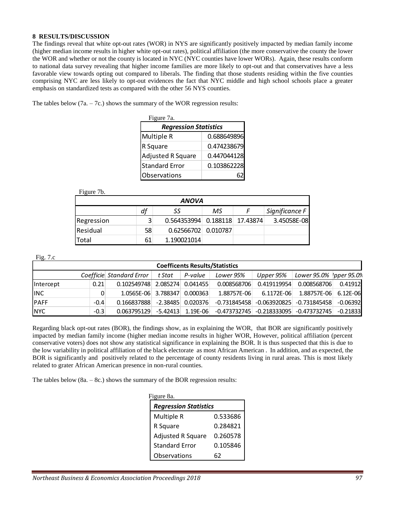#### **8 RESULTS/DISCUSSION**

The findings reveal that white opt-out rates (WOR) in NYS are significantly positively impacted by median family income (higher median income results in higher white opt-out rates), political affiliation (the more conservative the county the lower the WOR and whether or not the county is located in NYC (NYC counties have lower WORs). Again, these results conform to national data survey revealing that higher income families are more likely to opt-out and that conservatives have a less favorable view towards opting out compared to liberals. The finding that those students residing within the five counties comprising NYC are less likely to opt-out evidences the fact that NYC middle and high school schools place a greater emphasis on standardized tests as compared with the other 56 NYS counties.

The tables below  $(7a. - 7c.)$  shows the summary of the WOR regression results:

| Figure 7a.                   |             |  |  |  |  |  |  |
|------------------------------|-------------|--|--|--|--|--|--|
| <b>Regression Statistics</b> |             |  |  |  |  |  |  |
| Multiple R                   | 0.688649896 |  |  |  |  |  |  |
| R Square                     | 0.474238679 |  |  |  |  |  |  |
| Adjusted R Square            | 0.447044128 |  |  |  |  |  |  |
| <b>Standard Error</b>        | 0.103862228 |  |  |  |  |  |  |
| Observations                 |             |  |  |  |  |  |  |

Figure 7b.

| <b>ANOVA</b>                     |    |                               |  |  |             |  |  |  |
|----------------------------------|----|-------------------------------|--|--|-------------|--|--|--|
| df<br>Significance F<br>МS<br>SS |    |                               |  |  |             |  |  |  |
| Regression                       | 3  | 0.564353994 0.188118 17.43874 |  |  | 3.45058E-08 |  |  |  |
| Residual                         | 58 | 0.62566702 0.010787           |  |  |             |  |  |  |
| Total                            | 61 | 1.190021014                   |  |  |             |  |  |  |

Fig. 7.c

| <b>Coefficents Results/Statistics</b>                                                               |        |             |          |                     |                                              |             |             |            |  |  |
|-----------------------------------------------------------------------------------------------------|--------|-------------|----------|---------------------|----------------------------------------------|-------------|-------------|------------|--|--|
| Coefficie Standard Error<br>Lower 95.0%   pper 95.09<br>P-value<br>t Stat<br>Lower 95%<br>Upper 95% |        |             |          |                     |                                              |             |             |            |  |  |
| Intercept                                                                                           | 0.21   | 0.102549748 |          | 2.085274 0.041455   | 0.008568706                                  | 0.419119954 | 0.008568706 | 0.41912    |  |  |
| <b>INC</b>                                                                                          |        | 1.0565E-06  | 3.788347 | 0.000363            | 1.88757E-06                                  | 6.1172E-06  | 1.88757E-06 | $6.12E-06$ |  |  |
| <b>PAFF</b>                                                                                         | $-0.4$ | 0.166837888 |          | $-2.38485$ 0.020376 | $-0.731845458$ $-0.063920825$ $-0.731845458$ |             |             | $-0.06392$ |  |  |
| <b>NYC</b>                                                                                          | $-0.3$ | 0.063795129 |          | $-5.42413$ 1.19E-06 | -0.473732745 -0.218333095 -0.473732745 -     |             |             | $-0.21833$ |  |  |

Regarding black opt-out rates (BOR), the findings show, as in explaining the WOR, that BOR are significantly positively impacted by median family income (higher median income results in higher WOR, However, political affiliation (percent conservative voters) does not show any statistical significance in explaining the BOR. It is thus suspected that this is due to the low variability in political affiliation of the black electorate as most African American . In addition, and as expected, the BOR is significantly and positively related to the percentage of county residents living in rural areas. This is most likely related to grater African American presence in non-rural counties.

The tables below  $(8a. - 8c.)$  shows the summary of the BOR regression results:

| Figure 8a.                   |          |  |  |  |  |  |  |
|------------------------------|----------|--|--|--|--|--|--|
| <b>Regression Statistics</b> |          |  |  |  |  |  |  |
| Multiple R                   | 0.533686 |  |  |  |  |  |  |
| R Square                     | 0.284821 |  |  |  |  |  |  |
| <b>Adjusted R Square</b>     | 0.260578 |  |  |  |  |  |  |
| <b>Standard Error</b>        | 0.105846 |  |  |  |  |  |  |
| Observations                 | 62       |  |  |  |  |  |  |